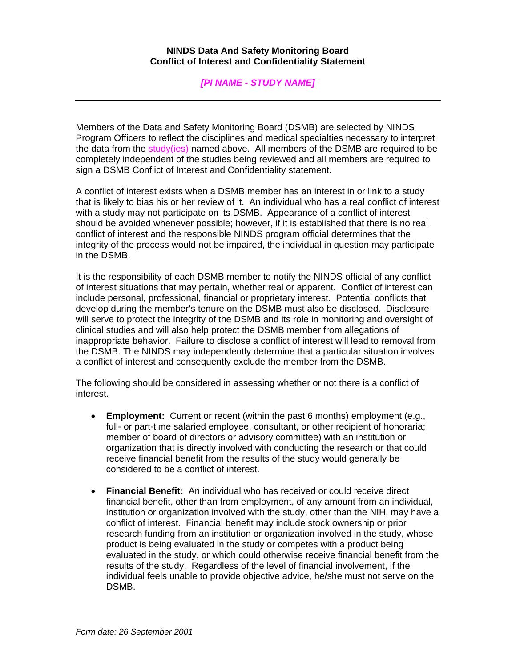## **NINDS Data And Safety Monitoring Board Conflict of Interest and Confidentiality Statement**

## *[PI NAME - STUDY NAME]*

Members of the Data and Safety Monitoring Board (DSMB) are selected by NINDS Program Officers to reflect the disciplines and medical specialties necessary to interpret the data from the study(ies) named above. All members of the DSMB are required to be completely independent of the studies being reviewed and all members are required to sign a DSMB Conflict of Interest and Confidentiality statement.

A conflict of interest exists when a DSMB member has an interest in or link to a study that is likely to bias his or her review of it. An individual who has a real conflict of interest with a study may not participate on its DSMB. Appearance of a conflict of interest should be avoided whenever possible; however, if it is established that there is no real conflict of interest and the responsible NINDS program official determines that the integrity of the process would not be impaired, the individual in question may participate in the DSMB.

It is the responsibility of each DSMB member to notify the NINDS official of any conflict of interest situations that may pertain, whether real or apparent. Conflict of interest can include personal, professional, financial or proprietary interest. Potential conflicts that develop during the member's tenure on the DSMB must also be disclosed. Disclosure will serve to protect the integrity of the DSMB and its role in monitoring and oversight of clinical studies and will also help protect the DSMB member from allegations of inappropriate behavior. Failure to disclose a conflict of interest will lead to removal from the DSMB. The NINDS may independently determine that a particular situation involves a conflict of interest and consequently exclude the member from the DSMB.

The following should be considered in assessing whether or not there is a conflict of interest.

- **Employment:** Current or recent (within the past 6 months) employment (e.g., full- or part-time salaried employee, consultant, or other recipient of honoraria; member of board of directors or advisory committee) with an institution or organization that is directly involved with conducting the research or that could receive financial benefit from the results of the study would generally be considered to be a conflict of interest.
- **Financial Benefit:** An individual who has received or could receive direct financial benefit, other than from employment, of any amount from an individual, institution or organization involved with the study, other than the NIH, may have a conflict of interest. Financial benefit may include stock ownership or prior research funding from an institution or organization involved in the study, whose product is being evaluated in the study or competes with a product being evaluated in the study, or which could otherwise receive financial benefit from the results of the study. Regardless of the level of financial involvement, if the individual feels unable to provide objective advice, he/she must not serve on the DSMB.